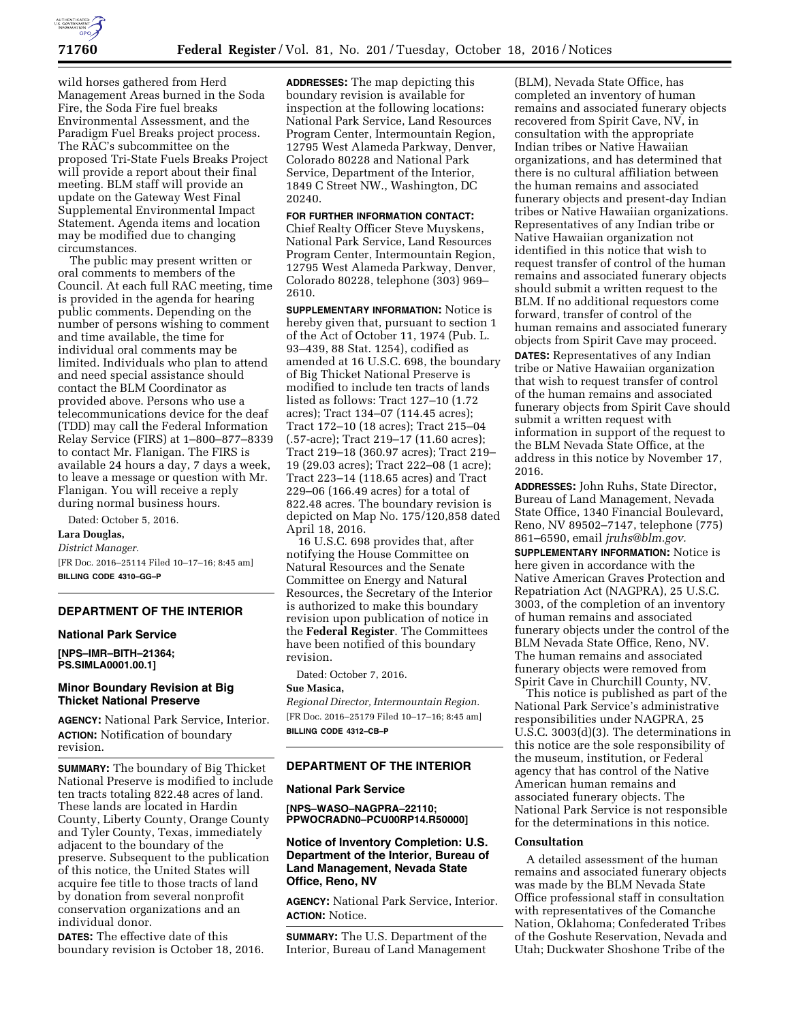

wild horses gathered from Herd Management Areas burned in the Soda Fire, the Soda Fire fuel breaks Environmental Assessment, and the Paradigm Fuel Breaks project process. The RAC's subcommittee on the proposed Tri-State Fuels Breaks Project will provide a report about their final meeting. BLM staff will provide an update on the Gateway West Final Supplemental Environmental Impact Statement. Agenda items and location may be modified due to changing circumstances.

The public may present written or oral comments to members of the Council. At each full RAC meeting, time is provided in the agenda for hearing public comments. Depending on the number of persons wishing to comment and time available, the time for individual oral comments may be limited. Individuals who plan to attend and need special assistance should contact the BLM Coordinator as provided above. Persons who use a telecommunications device for the deaf (TDD) may call the Federal Information Relay Service (FIRS) at 1–800–877–8339 to contact Mr. Flanigan. The FIRS is available 24 hours a day, 7 days a week, to leave a message or question with Mr. Flanigan. You will receive a reply during normal business hours.

Dated: October 5, 2016.

## **Lara Douglas,**

*District Manager.* 

[FR Doc. 2016–25114 Filed 10–17–16; 8:45 am] **BILLING CODE 4310–GG–P** 

# **DEPARTMENT OF THE INTERIOR**

#### **National Park Service**

**[NPS–IMR–BITH–21364; PS.SIMLA0001.00.1]** 

## **Minor Boundary Revision at Big Thicket National Preserve**

**AGENCY:** National Park Service, Interior. **ACTION:** Notification of boundary revision.

**SUMMARY:** The boundary of Big Thicket National Preserve is modified to include ten tracts totaling 822.48 acres of land. These lands are located in Hardin County, Liberty County, Orange County and Tyler County, Texas, immediately adjacent to the boundary of the preserve. Subsequent to the publication of this notice, the United States will acquire fee title to those tracts of land by donation from several nonprofit conservation organizations and an individual donor.

**DATES:** The effective date of this boundary revision is October 18, 2016.

**ADDRESSES:** The map depicting this boundary revision is available for inspection at the following locations: National Park Service, Land Resources Program Center, Intermountain Region, 12795 West Alameda Parkway, Denver, Colorado 80228 and National Park Service, Department of the Interior, 1849 C Street NW., Washington, DC 20240.

## **FOR FURTHER INFORMATION CONTACT:**

Chief Realty Officer Steve Muyskens, National Park Service, Land Resources Program Center, Intermountain Region, 12795 West Alameda Parkway, Denver, Colorado 80228, telephone (303) 969– 2610.

**SUPPLEMENTARY INFORMATION:** Notice is hereby given that, pursuant to section 1 of the Act of October 11, 1974 (Pub. L. 93–439, 88 Stat. 1254), codified as amended at 16 U.S.C. 698, the boundary of Big Thicket National Preserve is modified to include ten tracts of lands listed as follows: Tract 127–10 (1.72 acres); Tract 134–07 (114.45 acres); Tract 172–10 (18 acres); Tract 215–04 (.57-acre); Tract 219–17 (11.60 acres); Tract 219–18 (360.97 acres); Tract 219– 19 (29.03 acres); Tract 222–08 (1 acre); Tract 223–14 (118.65 acres) and Tract 229–06 (166.49 acres) for a total of 822.48 acres. The boundary revision is depicted on Map No. 175/120,858 dated April 18, 2016.

16 U.S.C. 698 provides that, after notifying the House Committee on Natural Resources and the Senate Committee on Energy and Natural Resources, the Secretary of the Interior is authorized to make this boundary revision upon publication of notice in the **Federal Register**. The Committees have been notified of this boundary revision.

Dated: October 7, 2016.

## **Sue Masica,**

*Regional Director, Intermountain Region.*  [FR Doc. 2016–25179 Filed 10–17–16; 8:45 am] **BILLING CODE 4312–CB–P** 

## **DEPARTMENT OF THE INTERIOR**

#### **National Park Service**

**[NPS–WASO–NAGPRA–22110; PPWOCRADN0–PCU00RP14.R50000]** 

## **Notice of Inventory Completion: U.S. Department of the Interior, Bureau of Land Management, Nevada State Office, Reno, NV**

**AGENCY:** National Park Service, Interior. **ACTION:** Notice.

**SUMMARY:** The U.S. Department of the Interior, Bureau of Land Management

(BLM), Nevada State Office, has completed an inventory of human remains and associated funerary objects recovered from Spirit Cave, NV, in consultation with the appropriate Indian tribes or Native Hawaiian organizations, and has determined that there is no cultural affiliation between the human remains and associated funerary objects and present-day Indian tribes or Native Hawaiian organizations. Representatives of any Indian tribe or Native Hawaiian organization not identified in this notice that wish to request transfer of control of the human remains and associated funerary objects should submit a written request to the BLM. If no additional requestors come forward, transfer of control of the human remains and associated funerary objects from Spirit Cave may proceed. **DATES:** Representatives of any Indian tribe or Native Hawaiian organization that wish to request transfer of control of the human remains and associated funerary objects from Spirit Cave should submit a written request with information in support of the request to the BLM Nevada State Office, at the address in this notice by November 17, 2016.

**ADDRESSES:** John Ruhs, State Director, Bureau of Land Management, Nevada State Office, 1340 Financial Boulevard, Reno, NV 89502–7147, telephone (775) 861–6590, email *[jruhs@blm.gov.](mailto:jruhs@blm.gov)* 

**SUPPLEMENTARY INFORMATION:** Notice is here given in accordance with the Native American Graves Protection and Repatriation Act (NAGPRA), 25 U.S.C. 3003, of the completion of an inventory of human remains and associated funerary objects under the control of the BLM Nevada State Office, Reno, NV. The human remains and associated funerary objects were removed from Spirit Cave in Churchill County, NV.

This notice is published as part of the National Park Service's administrative responsibilities under NAGPRA, 25 U.S.C. 3003(d)(3). The determinations in this notice are the sole responsibility of the museum, institution, or Federal agency that has control of the Native American human remains and associated funerary objects. The National Park Service is not responsible for the determinations in this notice.

### **Consultation**

A detailed assessment of the human remains and associated funerary objects was made by the BLM Nevada State Office professional staff in consultation with representatives of the Comanche Nation, Oklahoma; Confederated Tribes of the Goshute Reservation, Nevada and Utah; Duckwater Shoshone Tribe of the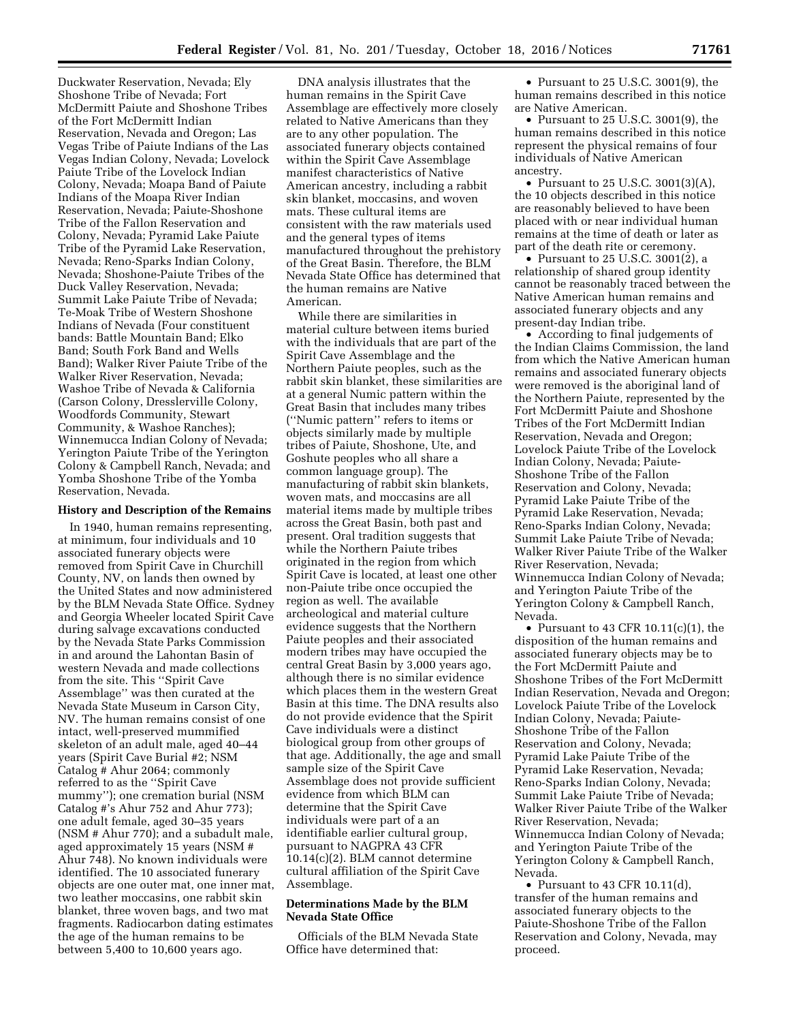Duckwater Reservation, Nevada; Ely Shoshone Tribe of Nevada; Fort McDermitt Paiute and Shoshone Tribes of the Fort McDermitt Indian Reservation, Nevada and Oregon; Las Vegas Tribe of Paiute Indians of the Las Vegas Indian Colony, Nevada; Lovelock Paiute Tribe of the Lovelock Indian Colony, Nevada; Moapa Band of Paiute Indians of the Moapa River Indian Reservation, Nevada; Paiute-Shoshone Tribe of the Fallon Reservation and Colony, Nevada; Pyramid Lake Paiute Tribe of the Pyramid Lake Reservation, Nevada; Reno-Sparks Indian Colony, Nevada; Shoshone-Paiute Tribes of the Duck Valley Reservation, Nevada; Summit Lake Paiute Tribe of Nevada; Te-Moak Tribe of Western Shoshone Indians of Nevada (Four constituent bands: Battle Mountain Band; Elko Band; South Fork Band and Wells Band); Walker River Paiute Tribe of the Walker River Reservation, Nevada; Washoe Tribe of Nevada & California (Carson Colony, Dresslerville Colony, Woodfords Community, Stewart Community, & Washoe Ranches); Winnemucca Indian Colony of Nevada; Yerington Paiute Tribe of the Yerington Colony & Campbell Ranch, Nevada; and Yomba Shoshone Tribe of the Yomba Reservation, Nevada.

## **History and Description of the Remains**

In 1940, human remains representing, at minimum, four individuals and 10 associated funerary objects were removed from Spirit Cave in Churchill County, NV, on lands then owned by the United States and now administered by the BLM Nevada State Office. Sydney and Georgia Wheeler located Spirit Cave during salvage excavations conducted by the Nevada State Parks Commission in and around the Lahontan Basin of western Nevada and made collections from the site. This ''Spirit Cave Assemblage'' was then curated at the Nevada State Museum in Carson City, NV. The human remains consist of one intact, well-preserved mummified skeleton of an adult male, aged 40–44 years (Spirit Cave Burial #2; NSM Catalog # Ahur 2064; commonly referred to as the ''Spirit Cave mummy''); one cremation burial (NSM Catalog #'s Ahur 752 and Ahur 773); one adult female, aged 30–35 years (NSM # Ahur 770); and a subadult male, aged approximately 15 years (NSM # Ahur 748). No known individuals were identified. The 10 associated funerary objects are one outer mat, one inner mat, two leather moccasins, one rabbit skin blanket, three woven bags, and two mat fragments. Radiocarbon dating estimates the age of the human remains to be between 5,400 to 10,600 years ago.

DNA analysis illustrates that the human remains in the Spirit Cave Assemblage are effectively more closely related to Native Americans than they are to any other population. The associated funerary objects contained within the Spirit Cave Assemblage manifest characteristics of Native American ancestry, including a rabbit skin blanket, moccasins, and woven mats. These cultural items are consistent with the raw materials used and the general types of items manufactured throughout the prehistory of the Great Basin. Therefore, the BLM Nevada State Office has determined that the human remains are Native American.

While there are similarities in material culture between items buried with the individuals that are part of the Spirit Cave Assemblage and the Northern Paiute peoples, such as the rabbit skin blanket, these similarities are at a general Numic pattern within the Great Basin that includes many tribes (''Numic pattern'' refers to items or objects similarly made by multiple tribes of Paiute, Shoshone, Ute, and Goshute peoples who all share a common language group). The manufacturing of rabbit skin blankets, woven mats, and moccasins are all material items made by multiple tribes across the Great Basin, both past and present. Oral tradition suggests that while the Northern Paiute tribes originated in the region from which Spirit Cave is located, at least one other non-Paiute tribe once occupied the region as well. The available archeological and material culture evidence suggests that the Northern Paiute peoples and their associated modern tribes may have occupied the central Great Basin by 3,000 years ago, although there is no similar evidence which places them in the western Great Basin at this time. The DNA results also do not provide evidence that the Spirit Cave individuals were a distinct biological group from other groups of that age. Additionally, the age and small sample size of the Spirit Cave Assemblage does not provide sufficient evidence from which BLM can determine that the Spirit Cave individuals were part of a an identifiable earlier cultural group, pursuant to NAGPRA 43 CFR 10.14(c)(2). BLM cannot determine cultural affiliation of the Spirit Cave Assemblage.

#### **Determinations Made by the BLM Nevada State Office**

Officials of the BLM Nevada State Office have determined that:

• Pursuant to 25 U.S.C. 3001(9), the human remains described in this notice are Native American.

• Pursuant to 25 U.S.C. 3001(9), the human remains described in this notice represent the physical remains of four individuals of Native American ancestry.

• Pursuant to 25 U.S.C. 3001(3)(A), the 10 objects described in this notice are reasonably believed to have been placed with or near individual human remains at the time of death or later as part of the death rite or ceremony.

• Pursuant to 25 U.S.C. 3001 $(2)$ , a relationship of shared group identity cannot be reasonably traced between the Native American human remains and associated funerary objects and any present-day Indian tribe.

• According to final judgements of the Indian Claims Commission, the land from which the Native American human remains and associated funerary objects were removed is the aboriginal land of the Northern Paiute, represented by the Fort McDermitt Paiute and Shoshone Tribes of the Fort McDermitt Indian Reservation, Nevada and Oregon; Lovelock Paiute Tribe of the Lovelock Indian Colony, Nevada; Paiute-Shoshone Tribe of the Fallon Reservation and Colony, Nevada; Pyramid Lake Paiute Tribe of the Pyramid Lake Reservation, Nevada; Reno-Sparks Indian Colony, Nevada; Summit Lake Paiute Tribe of Nevada; Walker River Paiute Tribe of the Walker River Reservation, Nevada; Winnemucca Indian Colony of Nevada; and Yerington Paiute Tribe of the Yerington Colony & Campbell Ranch, Nevada.

• Pursuant to 43 CFR  $10.11(c)(1)$ , the disposition of the human remains and associated funerary objects may be to the Fort McDermitt Paiute and Shoshone Tribes of the Fort McDermitt Indian Reservation, Nevada and Oregon; Lovelock Paiute Tribe of the Lovelock Indian Colony, Nevada; Paiute-Shoshone Tribe of the Fallon Reservation and Colony, Nevada; Pyramid Lake Paiute Tribe of the Pyramid Lake Reservation, Nevada; Reno-Sparks Indian Colony, Nevada; Summit Lake Paiute Tribe of Nevada; Walker River Paiute Tribe of the Walker River Reservation, Nevada; Winnemucca Indian Colony of Nevada; and Yerington Paiute Tribe of the Yerington Colony & Campbell Ranch, Nevada.

• Pursuant to 43 CFR 10.11(d), transfer of the human remains and associated funerary objects to the Paiute-Shoshone Tribe of the Fallon Reservation and Colony, Nevada, may proceed.